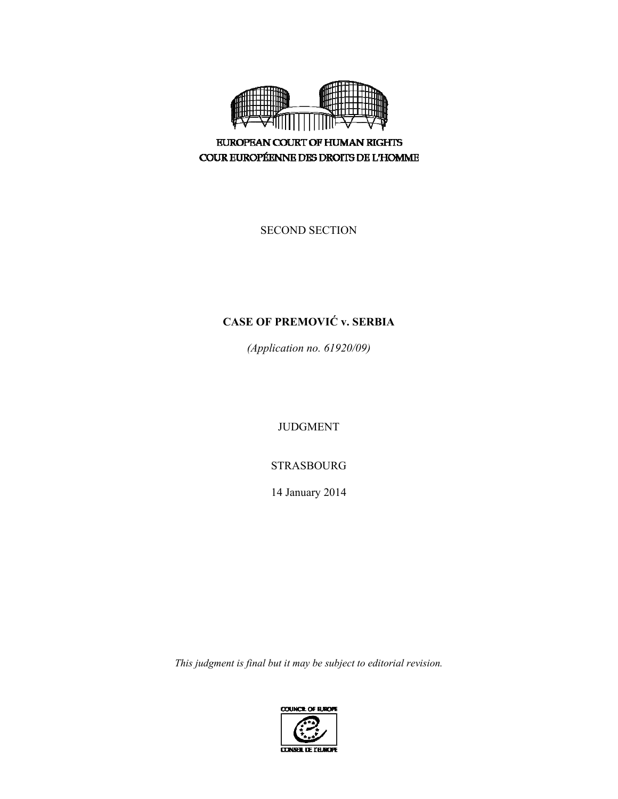

**EUROPEAN COURT OF HUMAN RIGHTS** COUR EUROPÉENNE DES DROITS DE L'HOMME

SECOND SECTION

# **CASE OF PREMOVIĆ v. SERBIA**

*(Application no. 61920/09)* 

JUDGMENT

STRASBOURG

14 January 2014

*This judgment is final but it may be subject to editorial revision.*

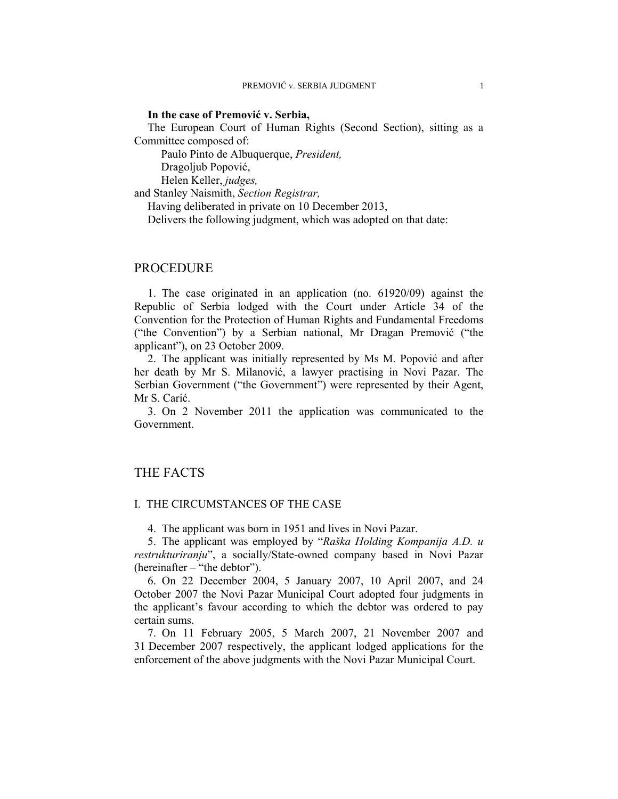### **In the case of Premović v. Serbia,**

The European Court of Human Rights (Second Section), sitting as a Committee composed of:

Paulo Pinto de Albuquerque, *President,* 

Dragoljub Popović,

Helen Keller, *judges,*

and Stanley Naismith, *Section Registrar,*

Having deliberated in private on 10 December 2013,

Delivers the following judgment, which was adopted on that date:

## PROCEDURE

1. The case originated in an application (no. 61920/09) against the Republic of Serbia lodged with the Court under Article 34 of the Convention for the Protection of Human Rights and Fundamental Freedoms ("the Convention") by a Serbian national, Mr Dragan Premović ("the applicant"), on 23 October 2009.

2. The applicant was initially represented by Ms M. Popović and after her death by Mr S. Milanović, a lawyer practising in Novi Pazar. The Serbian Government ("the Government") were represented by their Agent, Mr S. Carić.

3. On 2 November 2011 the application was communicated to the Government.

## THE FACTS

### I. THE CIRCUMSTANCES OF THE CASE

4. The applicant was born in 1951 and lives in Novi Pazar.

5. The applicant was employed by "*Raška Holding Kompanija A.D. u restrukturiranju*", a socially/State-owned company based in Novi Pazar (hereinafter – "the debtor").

6. On 22 December 2004, 5 January 2007, 10 April 2007, and 24 October 2007 the Novi Pazar Municipal Court adopted four judgments in the applicant's favour according to which the debtor was ordered to pay certain sums.

7. On 11 February 2005, 5 March 2007, 21 November 2007 and 31 December 2007 respectively, the applicant lodged applications for the enforcement of the above judgments with the Novi Pazar Municipal Court.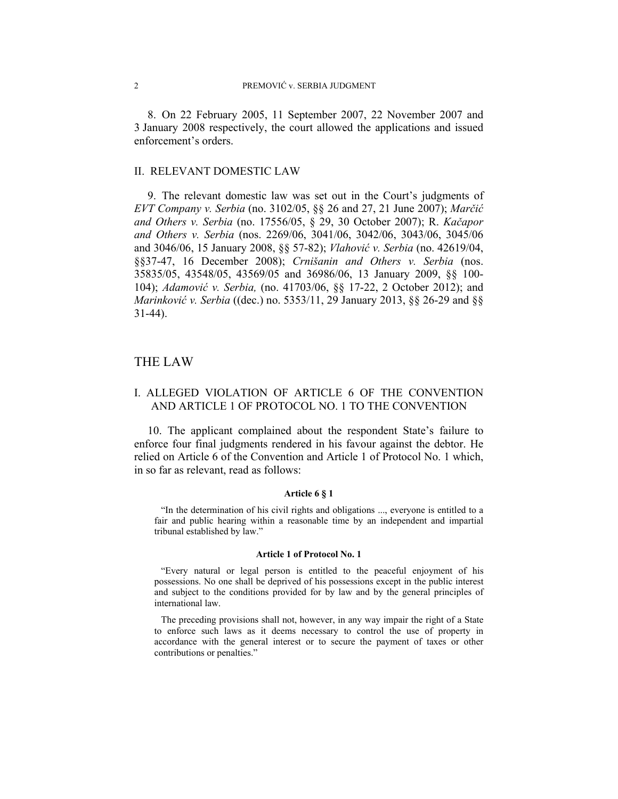8. On 22 February 2005, 11 September 2007, 22 November 2007 and 3 January 2008 respectively, the court allowed the applications and issued enforcement's orders.

### II. RELEVANT DOMESTIC LAW

9. The relevant domestic law was set out in the Court's judgments of *EVT Company v. Serbia* (no. 3102/05, §§ 26 and 27, 21 June 2007); *Marčić and Others v. Serbia* (no. 17556/05, § 29, 30 October 2007); R. *Kačapor and Others v. Serbia* (nos. 2269/06, 3041/06, 3042/06, 3043/06, 3045/06 and 3046/06, 15 January 2008, §§ 57-82); *Vlahović v. Serbia* (no. 42619/04, §§37-47, 16 December 2008); *Crnišanin and Others v. Serbia* (nos. 35835/05, 43548/05, 43569/05 and 36986/06, 13 January 2009, §§ 100- 104); *Adamović v. Serbia,* (no. 41703/06, §§ 17-22, 2 October 2012); and *Marinković v. Serbia* ((dec.) no. 5353/11, 29 January 2013, §§ 26-29 and §§ 31-44).

## THE LAW

## I. ALLEGED VIOLATION OF ARTICLE 6 OF THE CONVENTION AND ARTICLE 1 OF PROTOCOL NO. 1 TO THE CONVENTION

10. The applicant complained about the respondent State's failure to enforce four final judgments rendered in his favour against the debtor. He relied on Article 6 of the Convention and Article 1 of Protocol No. 1 which, in so far as relevant, read as follows:

### **Article 6 § 1**

"In the determination of his civil rights and obligations ..., everyone is entitled to a fair and public hearing within a reasonable time by an independent and impartial tribunal established by law."

#### **Article 1 of Protocol No. 1**

"Every natural or legal person is entitled to the peaceful enjoyment of his possessions. No one shall be deprived of his possessions except in the public interest and subject to the conditions provided for by law and by the general principles of international law.

The preceding provisions shall not, however, in any way impair the right of a State to enforce such laws as it deems necessary to control the use of property in accordance with the general interest or to secure the payment of taxes or other contributions or penalties."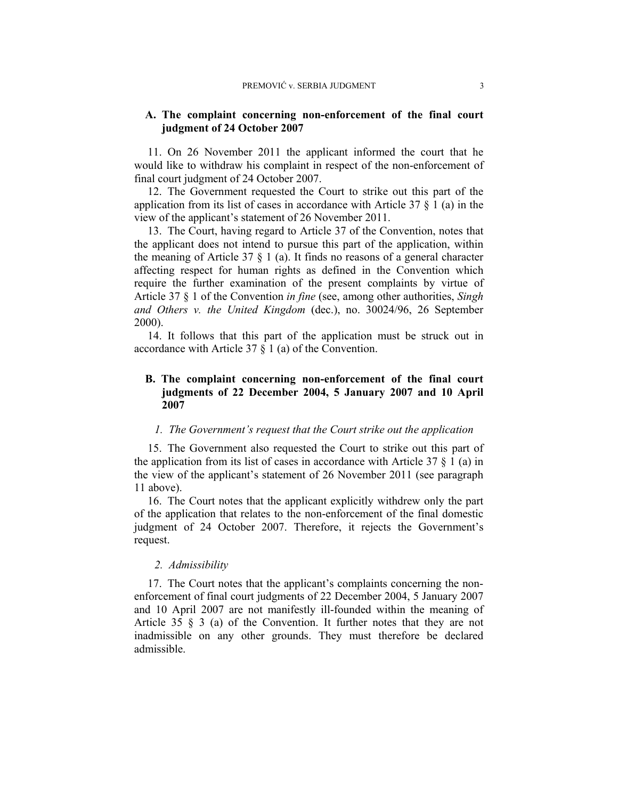## **A. The complaint concerning non-enforcement of the final court judgment of 24 October 2007**

11. On 26 November 2011 the applicant informed the court that he would like to withdraw his complaint in respect of the non-enforcement of final court judgment of 24 October 2007.

12. The Government requested the Court to strike out this part of the application from its list of cases in accordance with Article  $37 \xi$  1 (a) in the view of the applicant's statement of 26 November 2011.

13. The Court, having regard to Article 37 of the Convention, notes that the applicant does not intend to pursue this part of the application, within the meaning of Article 37  $\S$  1 (a). It finds no reasons of a general character affecting respect for human rights as defined in the Convention which require the further examination of the present complaints by virtue of Article 37 § 1 of the Convention *in fine* (see, among other authorities, *Singh and Others v. the United Kingdom* (dec.), no. 30024/96, 26 September 2000).

14. It follows that this part of the application must be struck out in accordance with Article 37 § 1 (a) of the Convention.

## **B. The complaint concerning non-enforcement of the final court judgments of 22 December 2004, 5 January 2007 and 10 April 2007**

## *1. The Government's request that the Court strike out the application*

15. The Government also requested the Court to strike out this part of the application from its list of cases in accordance with Article 37  $\S$  1 (a) in the view of the applicant's statement of 26 November 2011 (see paragraph 11 above).

16. The Court notes that the applicant explicitly withdrew only the part of the application that relates to the non-enforcement of the final domestic judgment of 24 October 2007. Therefore, it rejects the Government's request.

### *2. Admissibility*

17. The Court notes that the applicant's complaints concerning the nonenforcement of final court judgments of 22 December 2004, 5 January 2007 and 10 April 2007 are not manifestly ill-founded within the meaning of Article 35 § 3 (a) of the Convention. It further notes that they are not inadmissible on any other grounds. They must therefore be declared admissible.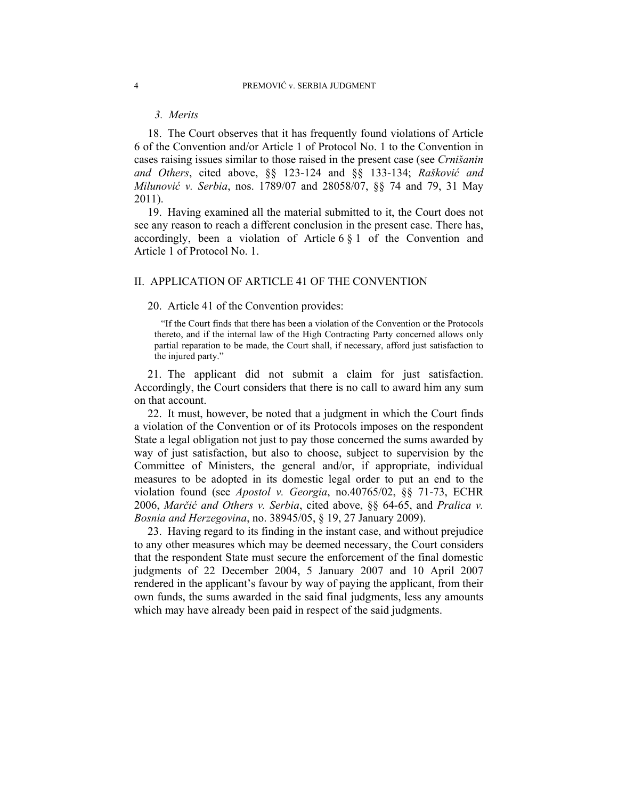## *3. Merits*

18. The Court observes that it has frequently found violations of Article 6 of the Convention and/or Article 1 of Protocol No. 1 to the Convention in cases raising issues similar to those raised in the present case (see *Crnišanin and Others*, cited above, §§ 123-124 and §§ 133-134; *Rašković and Milunović v. Serbia*, nos. 1789/07 and 28058/07, §§ 74 and 79, 31 May 2011).

19. Having examined all the material submitted to it, the Court does not see any reason to reach a different conclusion in the present case. There has, accordingly, been a violation of Article 6 § 1 of the Convention and Article 1 of Protocol No. 1.

### II. APPLICATION OF ARTICLE 41 OF THE CONVENTION

### 20. Article 41 of the Convention provides:

"If the Court finds that there has been a violation of the Convention or the Protocols thereto, and if the internal law of the High Contracting Party concerned allows only partial reparation to be made, the Court shall, if necessary, afford just satisfaction to the injured party."

21. The applicant did not submit a claim for just satisfaction. Accordingly, the Court considers that there is no call to award him any sum on that account.

22. It must, however, be noted that a judgment in which the Court finds a violation of the Convention or of its Protocols imposes on the respondent State a legal obligation not just to pay those concerned the sums awarded by way of just satisfaction, but also to choose, subject to supervision by the Committee of Ministers, the general and/or, if appropriate, individual measures to be adopted in its domestic legal order to put an end to the violation found (see *Apostol v. Georgia*, no.40765/02, §§ 71-73, ECHR 2006, *Marčić and Others v. Serbia*, cited above, §§ 64-65, and *Pralica v. Bosnia and Herzegovina*, no. 38945/05, § 19, 27 January 2009).

23. Having regard to its finding in the instant case, and without prejudice to any other measures which may be deemed necessary, the Court considers that the respondent State must secure the enforcement of the final domestic judgments of 22 December 2004, 5 January 2007 and 10 April 2007 rendered in the applicant's favour by way of paying the applicant, from their own funds, the sums awarded in the said final judgments, less any amounts which may have already been paid in respect of the said judgments.